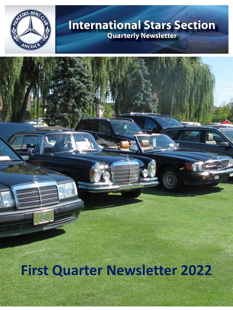

# **International Stars Section Quarterly Newsletter**

**First Quarter Newsletter 2022**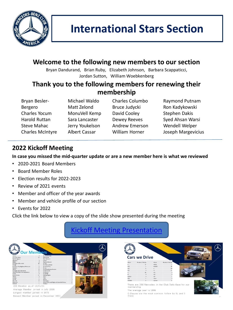

### **Welcome to the following new members to our section**

Bryan Dandurand, Brian Ruby, Elizabeth Johnson, Barbara Scappaticci, Jordan Sutton, William Woebkenberg

#### **Thank you to the following members for renewing their membership**

Bryan Besler-Bergero Charles Yocum Harold Ruttan Steve Mahac Charles McIntyre

Michael Waldo Matt Zelond MonuVell Kemp Sara Lancaster Jerry Youkelson Albert Cassar

Charles Columbo Bruce Judycki David Cooley Dewey Reeves Andrew Emerson William Horner

Raymond Putnam Ron Kadykowski Stephen Dakis Syed Ahsan Warsi Wendell Welper Joseph Margevicius

### **2022 Kickoff Meeting**

**In case you missed the mid-quarter update or are a new member here is what we reviewed**

- 2020-2021 Board Members
- Board Member Roles
- Election results for 2022-2023
- Review of 2021 events
- Member and officer of the year awards
- Member and vehicle profile of our section
- Events for 2022

Click the link below to view a copy of the slide show presented during the meeting

## [Kickoff Meeting Presentation](https://mcusercontent.com/36eae5f0e9d5854e5c30c094d/files/32b8cafb-1560-f0c7-a61a-0a7ff1535894/20220120IS_MBCA_2022_Kickoff.pdf)



|            | <b>Cars we Drive</b> |               |                           |  |
|------------|----------------------|---------------|---------------------------|--|
| Model      | Number of Vehicles   | Model         | <b>Number of Vehicles</b> |  |
|            | 77                   | Metric.       |                           |  |
| CLA        |                      | MLGLE         |                           |  |
| <b>CLK</b> |                      |               | 50                        |  |
| <b>CLS</b> |                      | 5L            |                           |  |
|            | <b>GR</b>            | <b>SLC</b>    |                           |  |
| a          |                      | <b>SUC</b>    |                           |  |
| GLGLS      |                      | 515           |                           |  |
|            |                      | <b>Symert</b> |                           |  |
| GLA        |                      |               |                           |  |

membership The average year is 1996

E Classes are the most common follow by SL and S Class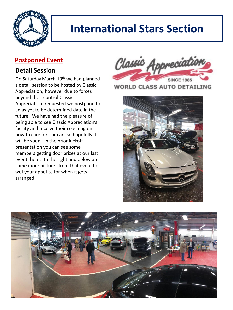

# **International Stars Section**

#### **Postponed Event**

#### **Detail Session**

On Saturday March 19<sup>th</sup> we had planned a detail session to be hosted by Classic Appreciation, however due to forces beyond their control Classic Appreciation requested we postpone to an as yet to be determined date in the future. We have had the pleasure of being able to see Classic Appreciation's facility and receive their coaching on how to care for our cars so hopefully it will be soon. In the prior kickoff presentation you can see some members getting door prizes at our last event there. To the right and below are some more pictures from that event to wet your appetite for when it gets arranged.



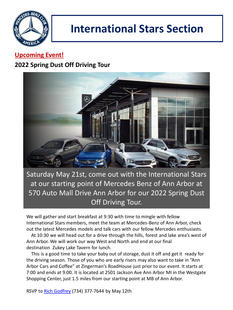

# **International Stars Section**

### **Upcoming Event!**

### **2022 Spring Dust Off Driving Tour**



Saturday May 21st, come out with the International Stars at our starting point of Mercedes Benz of Ann Arbor at 570 Auto Mall Drive Ann Arbor for our 2022 Spring Dust Off Driving Tour.

We will gather and start breakfast at 9:30 with time to mingle with fellow International Stars members, meet the team at Mercedes-Benz of Ann Arbor, check out the latest Mercedes models and talk cars with our fellow Mercedes enthusiasts.

 At 10:30 we will head out for a drive through the hills, forest and lake area's west of Ann Arbor. We will work our way West and North and end at our final destination Zukey Lake Tavern for lunch.

 This is a good time to take your baby out of storage, dust it off and get it ready for the driving season. Those of you who are early risers may also want to take in "Ann Arbor Cars and Coffee" at Zingerman's RoadHouse just prior to our event. It starts at 7:00 and ends at 9:00. It is located at 2501 Jackson Ave Ann Arbor MI in the Westgate Shopping Center, just 1.5 miles from our starting point at MB of Ann Arbor.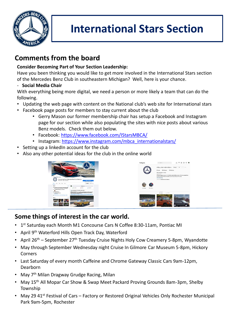

# **International Stars Section**

## **Comments from the board**

#### **Consider Becoming Part of Your Section Leadership:**

Have you been thinking you would like to get more involved in the International Stars section of the Mercedes Benz Club in southeastern Michigan? Well, here is your chance.

#### - **Social Media Chair**

With everything being more digital, we need a person or more likely a team that can do the following.

- Updating the web page with content on the National club's web site for International stars
- Facebook page posts for members to stay current about the club
	- Gerry Mason our former membership chair has setup a Facebook and Instagram page for our section while also populating the sites with nice posts about various Benz models. Check them out below.
	- Facebook: <https://www.facebook.com/IStarsMBCA/>
	- Instagram: [https://www.instagram.com/mbca\\_internationalstars/](https://www.instagram.com/mbca_internationalstars/)
- Setting up a linkedIn account for the club
- Also any other potential ideas for the club in the online world



#### **Some things of interest in the car world.**

- 1<sup>st</sup> Saturday each Month M1 Concourse Cars N Coffee 8:30-11am, Pontiac MI
- April 9<sup>th</sup> Waterford Hills Open Track Day, Waterford
- April  $26<sup>th</sup>$  September  $27<sup>th</sup>$  Tuesday Cruise Nights Holy Cow Creamery 5-8pm, Wyandotte
- May through September Wednesday night Cruise In Gilmore Car Museum 5-8pm, Hickory Corners
- Last Saturday of every month Caffeine and Chrome Gateway Classic Cars 9am-12pm, Dearborn
- May 7<sup>th</sup> Milan Dragway Grudge Racing, Milan
- May 15<sup>th</sup> All Mopar Car Show & Swap Meet Packard Proving Grounds 8am-3pm, Shelby Township
- May 29 41<sup>st</sup> Festival of Cars Factory or Restored Original Vehicles Only Rochester Municipal Park 9am-5pm, Rochester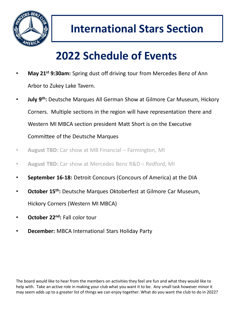

# **2022 Schedule of Events**

- **May 21st 9:30am:** Spring dust off driving tour from Mercedes Benz of Ann Arbor to Zukey Lake Tavern.
- **July 9th:** Deutsche Marques All German Show at Gilmore Car Museum, Hickory Corners. Multiple sections in the region will have representation there and Western MI MBCA section president Matt Short is on the Executive Committee of the Deutsche Marques
- **August TBD:** Car show at MB Financial Farmington, MI
- **August TBD:** Car show at Mercedes Benz R&D Redford, MI
- **September 16-18:** Detroit Concours (Concours of America) at the DIA
- **October 15th:** Deutsche Marques Oktoberfest at Gilmore Car Museum, Hickory Corners (Western MI MBCA)
- **October 22nd:** Fall color tour
- **December:** MBCA International Stars Holiday Party

The board would like to hear from the members on activities they feel are fun and what they would like to help with. Take an active role in making your club what you want it to be. Any small task however minor it may seem adds up to a greater list of things we can enjoy together. What do you want the club to do in 2022?